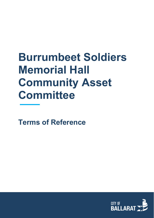# **Burrumbeet Soldiers Memorial Hall Community Asset Committee**

**Terms of Reference**

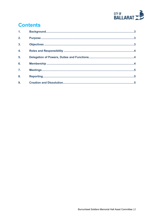

# **Contents**

| 1 <sub>1</sub>   |  |
|------------------|--|
| 2.               |  |
| $\overline{3}$ . |  |
| 4.               |  |
| 5.               |  |
| 6.               |  |
| $\overline{7}$ . |  |
| 8.               |  |
| 9.               |  |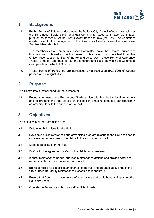

#### <span id="page-2-0"></span>**1. Background**

- 1.1. By this Terms of Reference document, the Ballarat City Council (Council) establishes the Burrumbeet Soldiers Memorial Hall Community Asset Committee (Committee) pursuant to section 65 of the *Local Government Act 2020* (the Act). The Committee is established for the management of the Community Asset known as the Burrumbeet Soldiers Memorial Hall.
- 1.2. The members of a Community Asset Committee have the powers, duties and functions as contained in the Instrument of Delegation from the Chief Executive Officer under section 47(1)(b) of the Act and as set out in these Terms of Reference. These Terms of Reference set out the structure and basis on which the Committee can operate on behalf of Council.
- 1.3. These Terms of Reference are authorised by a resolution (R203/20) of Council passed on 12 August 2020.

#### <span id="page-2-1"></span>**2. Purpose**

The Committee is established for the purpose of:

2.1 Encouraging use of the Burrumbeet Soldiers Memorial Hall by the local community and to promote the role played by the hall in enabling engaged participation in community life with the support of Council.

# <span id="page-2-2"></span>**3. Objectives**

The objectives of the Committee are:

- 3.1 Determine hiring fees for the Hall
- 3.2 Develop a public awareness and advertising program relating to the Hall designed to increase community use of the Hall with the support of Council.
- 3.3 Manage bookings for the Hall.
- 3.4 Draft, with the agreement of Council, a Hall hiring agreement.
- 3.5 Identify maintenance needs, prioritise maintenance actions and provide details of remedial actions in annual report to Council.
- 3.6 Be responsible for specific maintenance of the Hall and grounds as outlined in the City of Ballarat Facility Maintenance Schedule (addendum1).
- 3.7 Ensure that Council is made aware of any matters that could have an impact on the Hall or its users.
- 3.8 Operate, as far as possible, on a self-sufficient basis.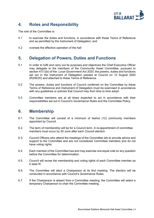

## <span id="page-3-0"></span>**4. Roles and Responsibility**

The role of the Committee is:

- 4.1 to exercise the duties and functions, in accordance with these Terms of Reference and as permitted by the Instrument of Delegation; and
- 4.2 oversee the effective operation of the hall

## <span id="page-3-1"></span>**5. Delegation of Powers, Duties and Functions**

- 5.1 In order to fulfil and carry out its purposes and objectives the Chief Executive Officer may delegate to the members of the Community Asset Committee, pursuant to section 47(1)(b) of the *Local Government Act 2020*, the powers, duties and functions set out in the Instrument of Delegation passed at Council on 12 August 2020 (R206/20) and attached to these Terms of Reference.
- 5.2 The powers, duties and functions of Council conferred on the Committee by these Terms of Reference and Instrument of Delegation must be exercised in accordance with any guidelines or policies that Council may from time to time adopt.
- 5.3 Committee members are at all times expected to act in accordance with their responsibilities set out in Council's Governance Rules and the Committee Policy.

#### <span id="page-3-2"></span>**6. Membership**

- 6.1. The Committee will consist of a minimum of twelve (12) community members appointed by Council.
- 6.2. The term of membership will be for a Council term. A re-appointment of committee members must occur by 30 June after each Council election.
- 6.3. Council Officers who attend the meetings of the Committee are to provide advice and support to the Committee and are not considered Committee members and do not have voting rights.
- 6.4. Each member of the Committee has and may exercise one equal vote on any question before the Committee for determination.
- 6.5. Council will revise the membership and voting rights of each Committee member as it sees fit.
- 6.6. The Committee will elect a Chairperson at its first meeting. The election will be conducted in accordance with Council's Governance Rules.
- 6.7. If the Chairperson is absent from a Committee meeting, the Committee will select a temporary Chairperson to chair the Committee meeting.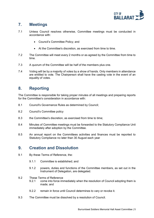

## <span id="page-4-0"></span>**7. Meetings**

- 7.1 Unless Council resolves otherwise, Committee meetings must be conducted in accordance with:
	- Council's Committee Policy; and
	- At the Committee's discretion, as exercised from time to time.
- 7.2 The Committee will meet every 2 months or as agreed by the Committee from time to time.
- 7.3 A quorum of the Committee will be half of the members plus one.
- 7.4 Voting will be by a majority of votes by a show of hands. Only members in attendance are entitled to vote. The Chairperson shall have the casting vote in the event of an equality of votes.

#### <span id="page-4-1"></span>**8. Reporting**

The Committee is responsible for taking proper minutes of all meetings and preparing reports for the Committee's consideration in accordance with:

- 8.1 Council's Governance Rules as determined by Council;
- 8.2 Council's Committee policy
- 8.3 the Committee's discretion, as exercised from time to time;
- 8.4 Minutes of Committee meetings must be forwarded to the Statutory Compliance Unit immediately after adoption by the Committee.
- 8.5 An annual report on the Committees activities and finances must be reported to Statutory Compliance no later than 30 August each year

#### <span id="page-4-2"></span>**9. Creation and Dissolution**

- 9.1 By these Terms of Reference, the:
	- 9.1.1 Committee is established; and
	- 9.1.2 powers, duties and functions of the Committee members, as set out in the Instrument of Delegation, are delegated.
- 9.2 These Terms of Reference
	- 9.2.1 come into force immediately when the resolution of Council adopting them is made; and
	- 9.2.2 remain in force until Council determines to vary or revoke it.
- 9.3 The Committee must be dissolved by a resolution of Council.